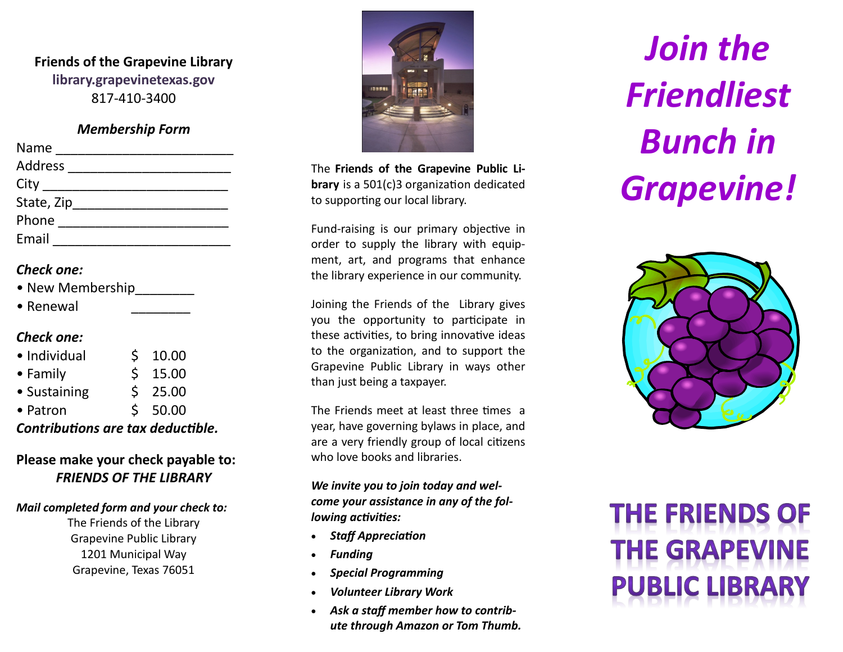# **Friends of the Grapevine Library library.grapevinetexas.gov** 817 -410 -3400

#### *Membership Form*

| Name           |  |
|----------------|--|
| Address        |  |
| City _________ |  |
| State, Zip     |  |
| Phone          |  |
| Email          |  |

### *Check one:*

| • New Membership |  |
|------------------|--|
|------------------|--|

• Renewal

## *Check one:*

| • Individual     | $5\quad 10.00$ |  |
|------------------|----------------|--|
| $\bullet$ Family | $5$ 15.00      |  |
| • Sustaining     | $5$ 25.00      |  |
| • Patron         | \$50.00        |  |
|                  |                |  |

#### *Contributions are tax deductible.*

## **Please make your check payable to:** *FRIENDS OF THE LIBRARY*

#### *Mail completed form and your check to:*

The Friends of the Library Grapevine Public Library 1201 Municipal Way Grapevine, Texas 76051



The **Friends of the Grapevine Public Library** is a 501(c)3 organization dedicated to supporting our local library.

Fund -raising is our primary objective in order to supply the library with equipment, art, and programs that enhance the library experience in our community.

Joining the Friends of the Library gives you the opportunity to participate in these activities, to bring innovative ideas to the organization, and to support the Grapevine Public Library in ways other than just being a taxpayer.

The Friends meet at least three times a year, have governing bylaws in place, and are a very friendly group of local citizens who love books and libraries.

*We invite you to join today and welcome your assistance in any of the following activities:*

- *Staff Appreciation*
- *Funding*
- *Special Programming*
- *Volunteer Library Work*
- *Ask a staff member how to contribute through Amazon or Tom Thumb.*

*Join the Friendliest Bunch in Grapevine!*



# **THE FRIENDS OF THE GRAPEVINE PUBLIC LIBRARY**